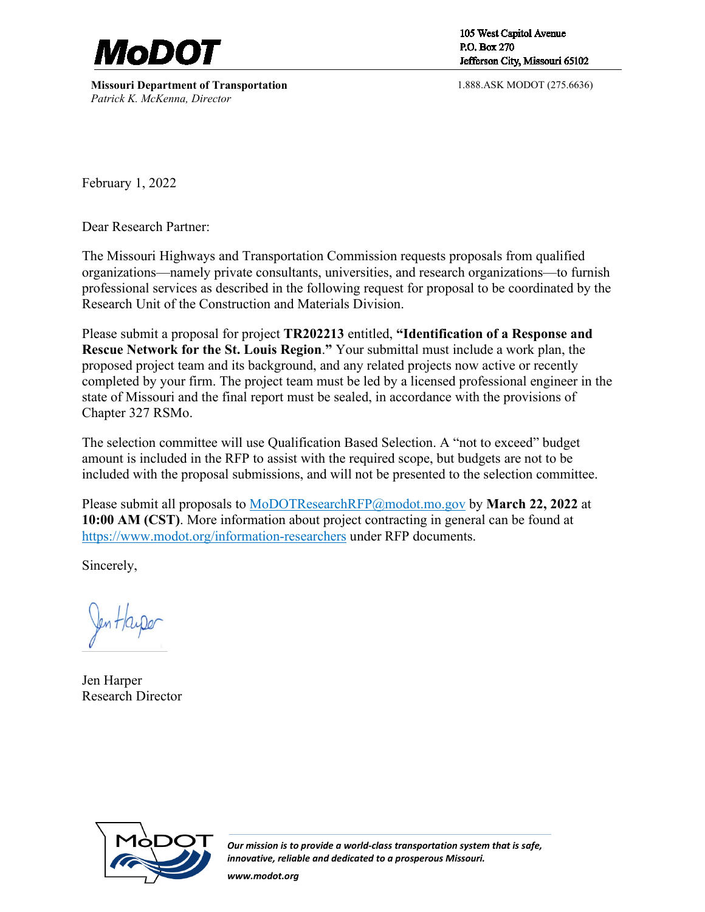

**Missouri Department of Transportation** *Patrick K. McKenna, Director*

105 West Capitol Avenue P.O. Box 270 Jefferson City, Missouri 65102

1.888.ASK MODOT (275.6636)

February 1, 2022

Dear Research Partner:

The Missouri Highways and Transportation Commission requests proposals from qualified organizations—namely private consultants, universities, and research organizations—to furnish professional services as described in the following request for proposal to be coordinated by the Research Unit of the Construction and Materials Division.

Please submit a proposal for project **TR202213** entitled, **"Identification of a Response and Rescue Network for the St. Louis Region**.**"** Your submittal must include a work plan, the proposed project team and its background, and any related projects now active or recently completed by your firm. The project team must be led by a licensed professional engineer in the state of Missouri and the final report must be sealed, in accordance with the provisions of Chapter 327 RSMo.

The selection committee will use Qualification Based Selection. A "not to exceed" budget amount is included in the RFP to assist with the required scope, but budgets are not to be included with the proposal submissions, and will not be presented to the selection committee.

Please submit all proposals to [MoDOTResearchRFP@modot.mo.gov](mailto:MoDOTResearchRFP@modot.mo.gov) by **March 22, 2022** at **10:00 AM (CST)**. More information about project contracting in general can be found at <https://www.modot.org/information-researchers>under RFP documents.

Sincerely,

Jen Harper Research Director



*Our mission is to provide a world-class transportation system that is safe, innovative, reliable and dedicated to a prosperous Missouri.*

*www.modot.org*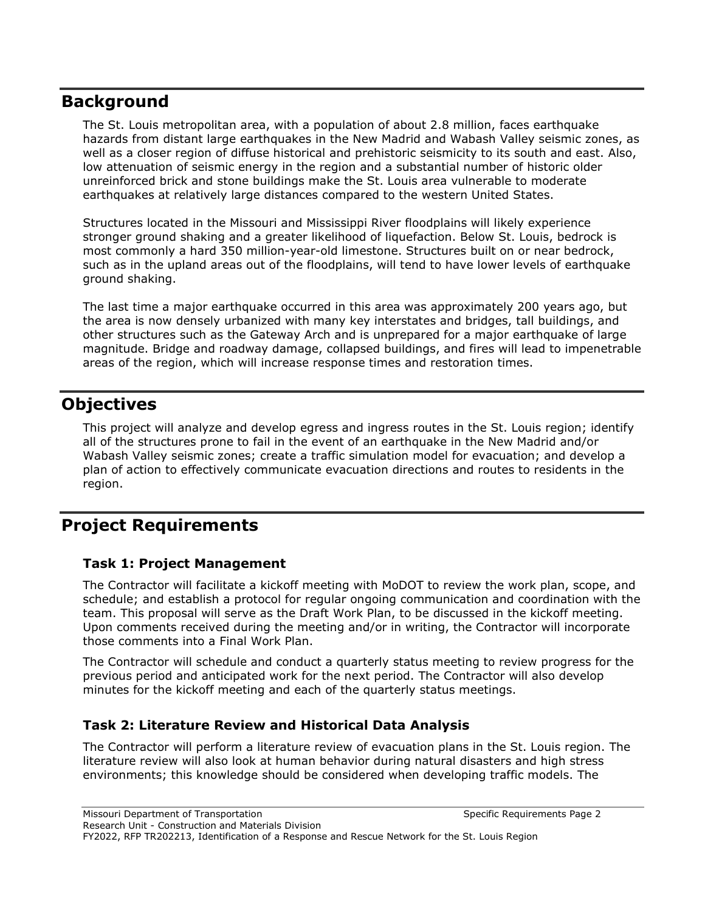# **Background**

The St. Louis metropolitan area, with a population of about 2.8 million, faces earthquake hazards from distant large earthquakes in the New Madrid and Wabash Valley seismic zones, as well as a closer region of diffuse historical and prehistoric seismicity to its south and east. Also, low attenuation of seismic energy in the region and a substantial number of historic older unreinforced brick and stone buildings make the St. Louis area vulnerable to moderate earthquakes at relatively large distances compared to the western United States.

Structures located in the Missouri and Mississippi River floodplains will likely experience stronger ground shaking and a greater likelihood of liquefaction. Below St. Louis, bedrock is most commonly a hard 350 million-year-old limestone. Structures built on or near bedrock, such as in the upland areas out of the floodplains, will tend to have lower levels of earthquake ground shaking.

The last time a major earthquake occurred in this area was approximately 200 years ago, but the area is now densely urbanized with many key interstates and bridges, tall buildings, and other structures such as the Gateway Arch and is unprepared for a major earthquake of large magnitude. Bridge and roadway damage, collapsed buildings, and fires will lead to impenetrable areas of the region, which will increase response times and restoration times.

# **Objectives**

This project will analyze and develop egress and ingress routes in the St. Louis region; identify all of the structures prone to fail in the event of an earthquake in the New Madrid and/or Wabash Valley seismic zones; create a traffic simulation model for evacuation; and develop a plan of action to effectively communicate evacuation directions and routes to residents in the region.

# **Project Requirements**

### **Task 1: Project Management**

The Contractor will facilitate a kickoff meeting with MoDOT to review the work plan, scope, and schedule; and establish a protocol for regular ongoing communication and coordination with the team. This proposal will serve as the Draft Work Plan, to be discussed in the kickoff meeting. Upon comments received during the meeting and/or in writing, the Contractor will incorporate those comments into a Final Work Plan.

The Contractor will schedule and conduct a quarterly status meeting to review progress for the previous period and anticipated work for the next period. The Contractor will also develop minutes for the kickoff meeting and each of the quarterly status meetings.

### **Task 2: Literature Review and Historical Data Analysis**

The Contractor will perform a literature review of evacuation plans in the St. Louis region. The literature review will also look at human behavior during natural disasters and high stress environments; this knowledge should be considered when developing traffic models. The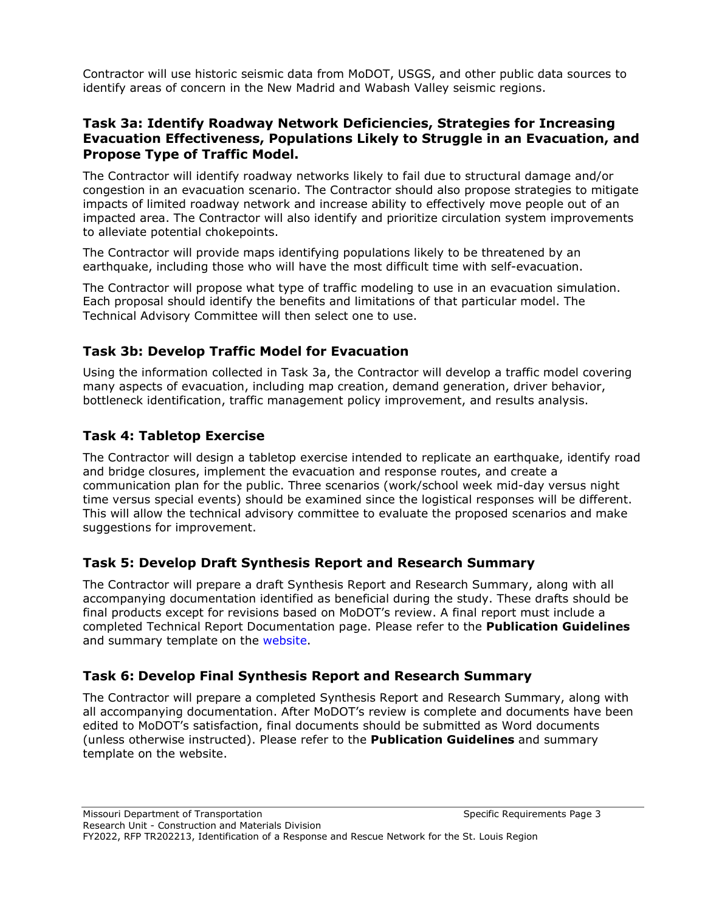Contractor will use historic seismic data from MoDOT, USGS, and other public data sources to identify areas of concern in the New Madrid and Wabash Valley seismic regions.

#### **Task 3a: Identify Roadway Network Deficiencies, Strategies for Increasing Evacuation Effectiveness, Populations Likely to Struggle in an Evacuation, and Propose Type of Traffic Model.**

The Contractor will identify roadway networks likely to fail due to structural damage and/or congestion in an evacuation scenario. The Contractor should also propose strategies to mitigate impacts of limited roadway network and increase ability to effectively move people out of an impacted area. The Contractor will also identify and prioritize circulation system improvements to alleviate potential chokepoints.

The Contractor will provide maps identifying populations likely to be threatened by an earthquake, including those who will have the most difficult time with self-evacuation.

The Contractor will propose what type of traffic modeling to use in an evacuation simulation. Each proposal should identify the benefits and limitations of that particular model. The Technical Advisory Committee will then select one to use.

### **Task 3b: Develop Traffic Model for Evacuation**

Using the information collected in Task 3a, the Contractor will develop a traffic model covering many aspects of evacuation, including map creation, demand generation, driver behavior, bottleneck identification, traffic management policy improvement, and results analysis.

### **Task 4: Tabletop Exercise**

The Contractor will design a tabletop exercise intended to replicate an earthquake, identify road and bridge closures, implement the evacuation and response routes, and create a communication plan for the public. Three scenarios (work/school week mid-day versus night time versus special events) should be examined since the logistical responses will be different. This will allow the technical advisory committee to evaluate the proposed scenarios and make suggestions for improvement.

#### **Task 5: Develop Draft Synthesis Report and Research Summary**

The Contractor will prepare a draft Synthesis Report and Research Summary, along with all accompanying documentation identified as beneficial during the study. These drafts should be final products except for revisions based on MoDOT's review. A final report must include a completed Technical Report Documentation page. Please refer to the **Publication Guidelines**  and summary template on the website.

#### **Task 6: Develop Final Synthesis Report and Research Summary**

The Contractor will prepare a completed Synthesis Report and Research Summary, along with all accompanying documentation. After MoDOT's review is complete and documents have been edited to MoDOT's satisfaction, final documents should be submitted as Word documents (unless otherwise instructed). Please refer to the **Publication Guidelines** and summary template on the website.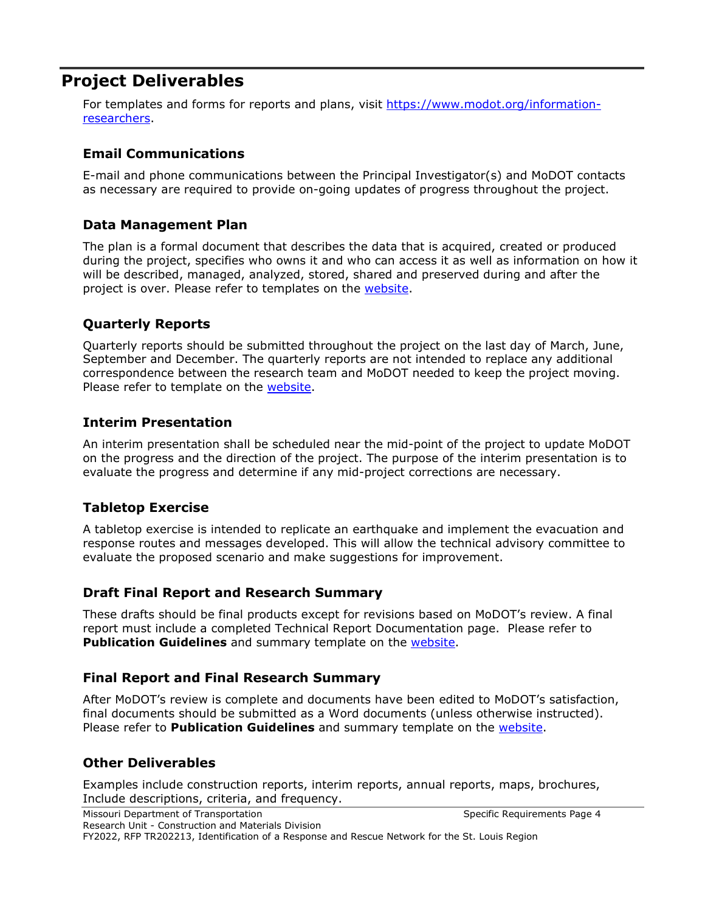## **Project Deliverables**

For templates and forms for reports and plans, visit [https://www.modot.org/information](https://www.modot.org/information-researchers)[researchers.](https://www.modot.org/information-researchers)

#### **Email Communications**

E-mail and phone communications between the Principal Investigator(s) and MoDOT contacts as necessary are required to provide on-going updates of progress throughout the project.

#### **Data Management Plan**

The plan is a formal document that describes the data that is acquired, created or produced during the project, specifies who owns it and who can access it as well as information on how it will be described, managed, analyzed, stored, shared and preserved during and after the project is over. Please refer to templates on the [website.](https://www.modot.org/information-researchers)

#### **Quarterly Reports**

Quarterly reports should be submitted throughout the project on the last day of March, June, September and December. The quarterly reports are not intended to replace any additional correspondence between the research team and MoDOT needed to keep the project moving. Please refer to template on the [website.](https://www.modot.org/information-researchers)

#### **Interim Presentation**

An interim presentation shall be scheduled near the mid-point of the project to update MoDOT on the progress and the direction of the project. The purpose of the interim presentation is to evaluate the progress and determine if any mid-project corrections are necessary.

#### **Tabletop Exercise**

A tabletop exercise is intended to replicate an earthquake and implement the evacuation and response routes and messages developed. This will allow the technical advisory committee to evaluate the proposed scenario and make suggestions for improvement.

#### **Draft Final Report and Research Summary**

These drafts should be final products except for revisions based on MoDOT's review. A final report must include a completed Technical Report Documentation page. Please refer to **Publication Guidelines** and summary template on the **website**.

#### **Final Report and Final Research Summary**

After MoDOT's review is complete and documents have been edited to MoDOT's satisfaction, final documents should be submitted as a Word documents (unless otherwise instructed). Please refer to **Publication Guidelines** and summary template on the [website.](https://www.modot.org/information-researchers)

#### **Other Deliverables**

Examples include construction reports, interim reports, annual reports, maps, brochures, Include descriptions, criteria, and frequency.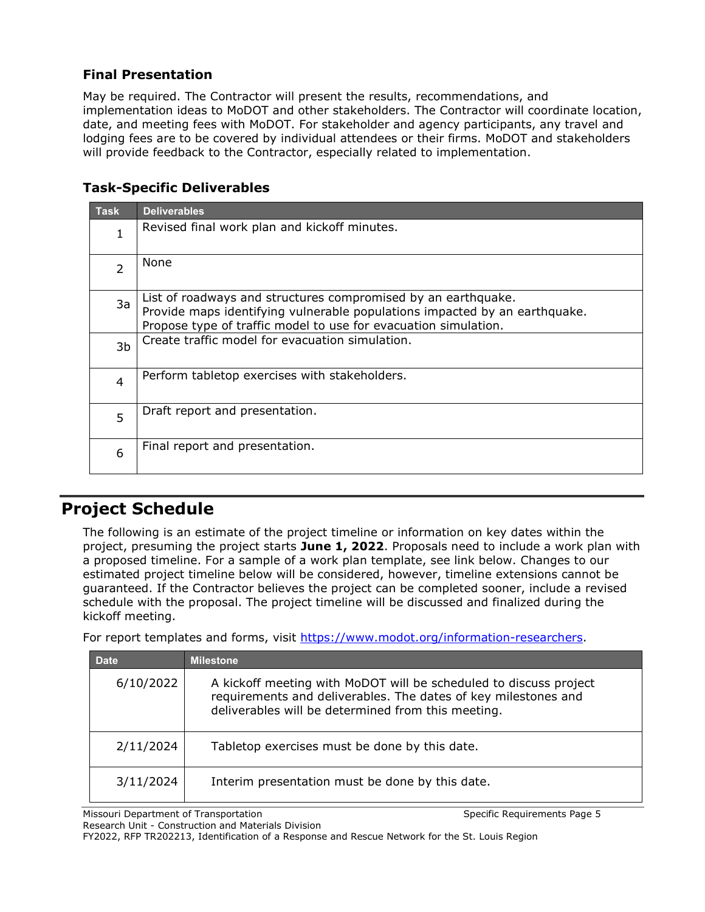#### **Final Presentation**

May be required. The Contractor will present the results, recommendations, and implementation ideas to MoDOT and other stakeholders. The Contractor will coordinate location, date, and meeting fees with MoDOT. For stakeholder and agency participants, any travel and lodging fees are to be covered by individual attendees or their firms. MoDOT and stakeholders will provide feedback to the Contractor, especially related to implementation.

### **Task-Specific Deliverables**

| <b>Task</b>    | <b>Deliverables</b>                                                                                                                                                                                            |
|----------------|----------------------------------------------------------------------------------------------------------------------------------------------------------------------------------------------------------------|
| 1              | Revised final work plan and kickoff minutes.                                                                                                                                                                   |
| $\overline{2}$ | None                                                                                                                                                                                                           |
| 3a             | List of roadways and structures compromised by an earthquake.<br>Provide maps identifying vulnerable populations impacted by an earthquake.<br>Propose type of traffic model to use for evacuation simulation. |
| 3b             | Create traffic model for evacuation simulation.                                                                                                                                                                |
| 4              | Perform tabletop exercises with stakeholders.                                                                                                                                                                  |
| 5              | Draft report and presentation.                                                                                                                                                                                 |
| 6              | Final report and presentation.                                                                                                                                                                                 |

# **Project Schedule**

The following is an estimate of the project timeline or information on key dates within the project, presuming the project starts **June 1, 2022**. Proposals need to include a work plan with a proposed timeline. For a sample of a work plan template, see link below. Changes to our estimated project timeline below will be considered, however, timeline extensions cannot be guaranteed. If the Contractor believes the project can be completed sooner, include a revised schedule with the proposal. The project timeline will be discussed and finalized during the kickoff meeting.

For report templates and forms, visit [https://www.modot.org/information-researchers.](https://www.modot.org/information-researchers)

| <b>Date</b> | <b>Milestone</b>                                                                                                                                                                          |
|-------------|-------------------------------------------------------------------------------------------------------------------------------------------------------------------------------------------|
| 6/10/2022   | A kickoff meeting with MoDOT will be scheduled to discuss project<br>requirements and deliverables. The dates of key milestones and<br>deliverables will be determined from this meeting. |
| 2/11/2024   | Tabletop exercises must be done by this date.                                                                                                                                             |
| 3/11/2024   | Interim presentation must be done by this date.                                                                                                                                           |

Missouri Department of Transportation Specific Requirements Page 5 Research Unit - Construction and Materials Division

FY2022, RFP TR202213, Identification of a Response and Rescue Network for the St. Louis Region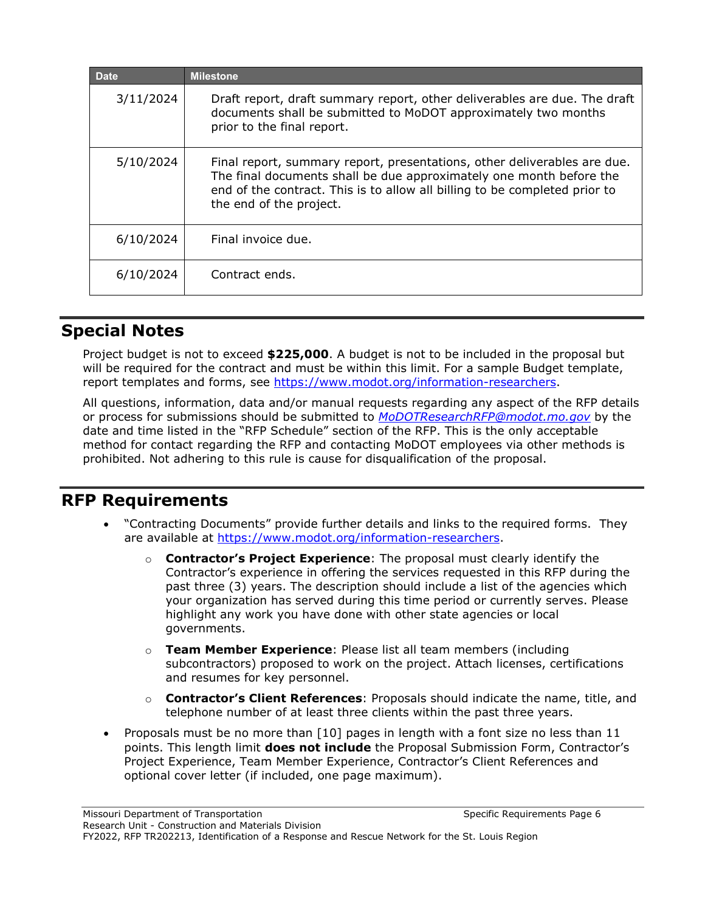| <b>Date</b> | <b>Milestone</b>                                                                                                                                                                                                                                         |
|-------------|----------------------------------------------------------------------------------------------------------------------------------------------------------------------------------------------------------------------------------------------------------|
| 3/11/2024   | Draft report, draft summary report, other deliverables are due. The draft<br>documents shall be submitted to MoDOT approximately two months<br>prior to the final report.                                                                                |
| 5/10/2024   | Final report, summary report, presentations, other deliverables are due.<br>The final documents shall be due approximately one month before the<br>end of the contract. This is to allow all billing to be completed prior to<br>the end of the project. |
| 6/10/2024   | Final invoice due.                                                                                                                                                                                                                                       |
| 6/10/2024   | Contract ends.                                                                                                                                                                                                                                           |

# **Special Notes**

Project budget is not to exceed **\$225,000**. A budget is not to be included in the proposal but will be required for the contract and must be within this limit. For a sample Budget template, report templates and forms, see [https://www.modot.org/information-researchers.](https://www.modot.org/information-researchers)

All questions, information, data and/or manual requests regarding any aspect of the RFP details or process for submissions should be submitted to *[MoDOTResearchRFP@modot.mo.gov](mailto:MoDOTResearchRFP@modot.mo.gov)* by the date and time listed in the "RFP Schedule" section of the RFP. This is the only acceptable method for contact regarding the RFP and contacting MoDOT employees via other methods is prohibited. Not adhering to this rule is cause for disqualification of the proposal.

### **RFP Requirements**

- "Contracting Documents" provide further details and links to the required forms. They are available at [https://www.modot.org/information-researchers.](https://www.modot.org/information-researchers)
	- o **Contractor's Project Experience**: The proposal must clearly identify the Contractor's experience in offering the services requested in this RFP during the past three (3) years. The description should include a list of the agencies which your organization has served during this time period or currently serves. Please highlight any work you have done with other state agencies or local governments.
	- o **Team Member Experience**: Please list all team members (including subcontractors) proposed to work on the project. Attach licenses, certifications and resumes for key personnel.
	- o **Contractor's Client References**: Proposals should indicate the name, title, and telephone number of at least three clients within the past three years.
- Proposals must be no more than [10] pages in length with a font size no less than 11 points. This length limit **does not include** the Proposal Submission Form, Contractor's Project Experience, Team Member Experience, Contractor's Client References and optional cover letter (if included, one page maximum).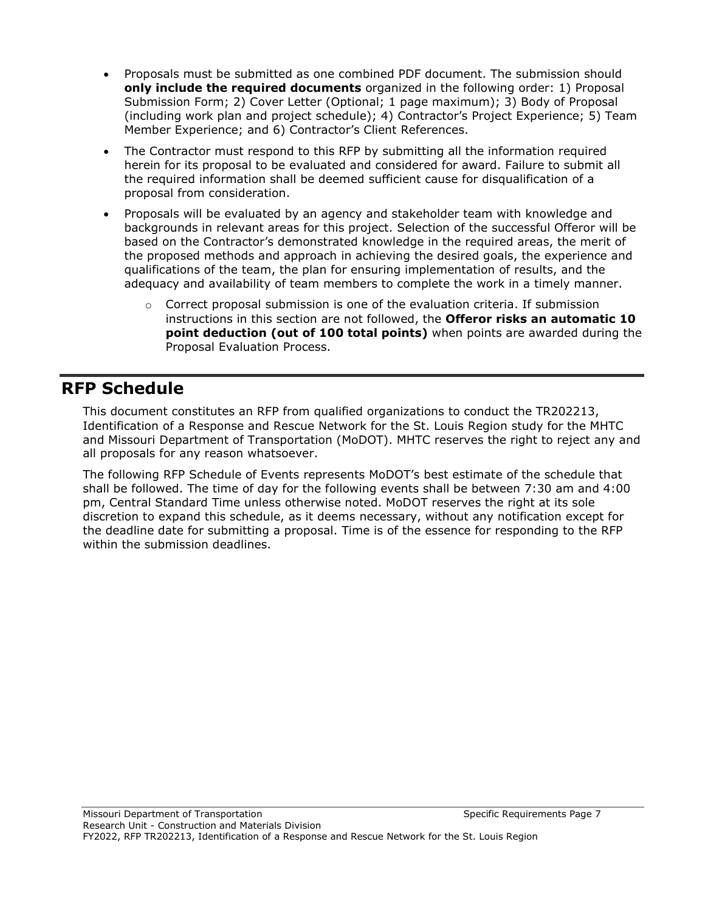- Proposals must be submitted as one combined PDF document. The submission should **only include the required documents** organized in the following order: 1) Proposal Submission Form; 2) Cover Letter (Optional; 1 page maximum); 3) Body of Proposal (including work plan and project schedule); 4) Contractor's Project Experience; 5) Team Member Experience; and 6) Contractor's Client References.
- The Contractor must respond to this RFP by submitting all the information required herein for its proposal to be evaluated and considered for award. Failure to submit all the required information shall be deemed sufficient cause for disqualification of a proposal from consideration.
- Proposals will be evaluated by an agency and stakeholder team with knowledge and backgrounds in relevant areas for this project. Selection of the successful Offeror will be based on the Contractor's demonstrated knowledge in the required areas, the merit of the proposed methods and approach in achieving the desired goals, the experience and qualifications of the team, the plan for ensuring implementation of results, and the adequacy and availability of team members to complete the work in a timely manner.
	- $\circ$  Correct proposal submission is one of the evaluation criteria. If submission instructions in this section are not followed, the **Offeror risks an automatic 10 point deduction (out of 100 total points)** when points are awarded during the Proposal Evaluation Process.

## **RFP Schedule**

This document constitutes an RFP from qualified organizations to conduct the TR202213, Identification of a Response and Rescue Network for the St. Louis Region study for the MHTC and Missouri Department of Transportation (MoDOT). MHTC reserves the right to reject any and all proposals for any reason whatsoever.

The following RFP Schedule of Events represents MoDOT's best estimate of the schedule that shall be followed. The time of day for the following events shall be between 7:30 am and 4:00 pm, Central Standard Time unless otherwise noted. MoDOT reserves the right at its sole discretion to expand this schedule, as it deems necessary, without any notification except for the deadline date for submitting a proposal. Time is of the essence for responding to the RFP within the submission deadlines.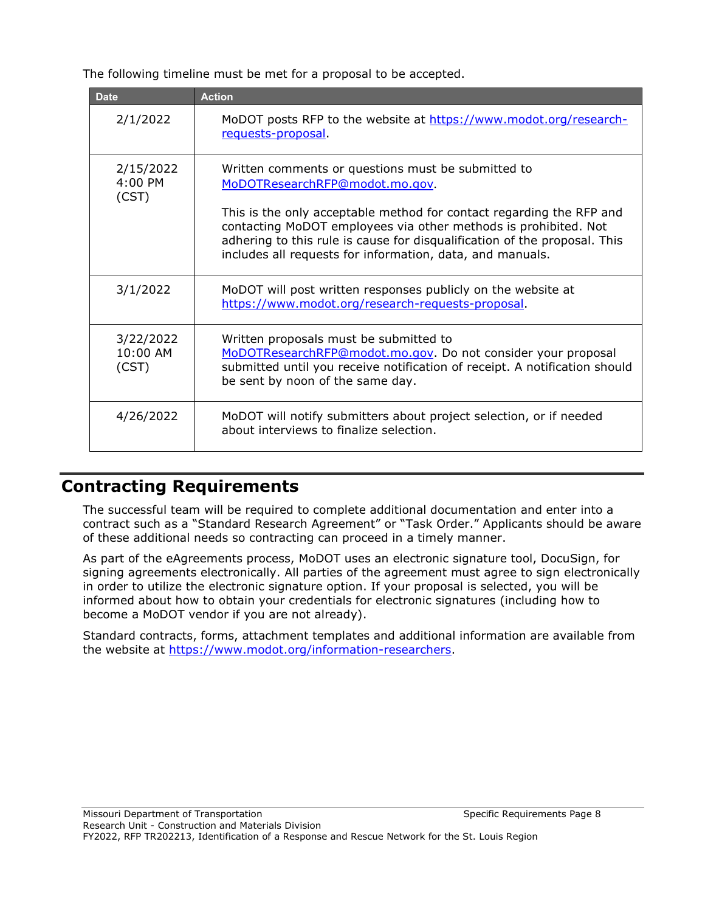The following timeline must be met for a proposal to be accepted.

| <b>Date</b>                     | <b>Action</b>                                                                                                                                                                                                                                                                                                                                                             |
|---------------------------------|---------------------------------------------------------------------------------------------------------------------------------------------------------------------------------------------------------------------------------------------------------------------------------------------------------------------------------------------------------------------------|
| 2/1/2022                        | MoDOT posts RFP to the website at https://www.modot.org/research-<br>requests-proposal                                                                                                                                                                                                                                                                                    |
| 2/15/2022<br>$4:00$ PM<br>(CST) | Written comments or questions must be submitted to<br>MoDOTResearchRFP@modot.mo.gov.<br>This is the only acceptable method for contact regarding the RFP and<br>contacting MoDOT employees via other methods is prohibited. Not<br>adhering to this rule is cause for disqualification of the proposal. This<br>includes all requests for information, data, and manuals. |
| 3/1/2022                        | MoDOT will post written responses publicly on the website at<br>https://www.modot.org/research-requests-proposal.                                                                                                                                                                                                                                                         |
| 3/22/2022<br>10:00 AM<br>(CST)  | Written proposals must be submitted to<br>MoDOTResearchRFP@modot.mo.gov. Do not consider your proposal<br>submitted until you receive notification of receipt. A notification should<br>be sent by noon of the same day.                                                                                                                                                  |
| 4/26/2022                       | MoDOT will notify submitters about project selection, or if needed<br>about interviews to finalize selection.                                                                                                                                                                                                                                                             |

# **Contracting Requirements**

The successful team will be required to complete additional documentation and enter into a contract such as a "Standard Research Agreement" or "Task Order." Applicants should be aware of these additional needs so contracting can proceed in a timely manner.

As part of the eAgreements process, MoDOT uses an electronic signature tool, DocuSign, for signing agreements electronically. All parties of the agreement must agree to sign electronically in order to utilize the electronic signature option. If your proposal is selected, you will be informed about how to obtain your credentials for electronic signatures (including how to become a MoDOT vendor if you are not already).

Standard contracts, forms, attachment templates and additional information are available from the website at [https://www.modot.org/information-researchers.](https://www.modot.org/information-researchers)